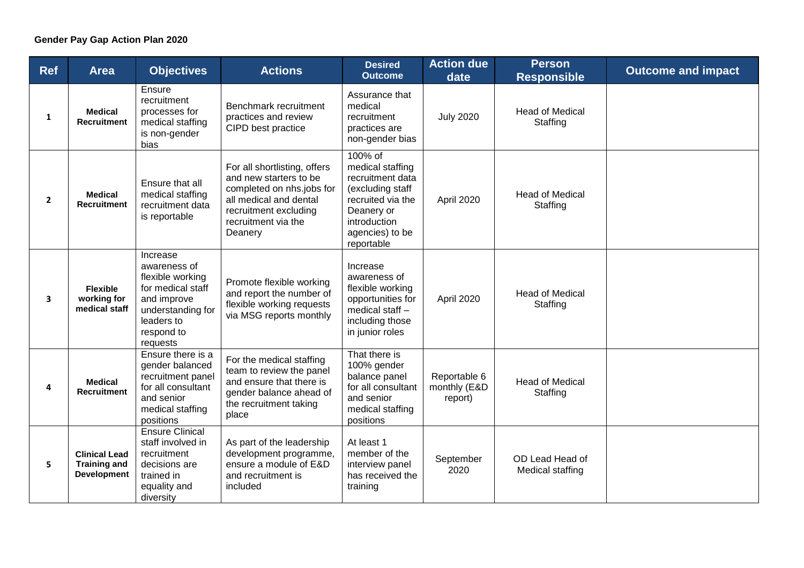| <b>Ref</b>              | <b>Area</b>                                                       | <b>Objectives</b>                                                                                                                             | <b>Actions</b>                                                                                                                                                           | <b>Desired</b><br><b>Outcome</b>                                                                                                                        | <b>Action due</b><br>date               | <b>Person</b><br><b>Responsible</b> | <b>Outcome and impact</b> |
|-------------------------|-------------------------------------------------------------------|-----------------------------------------------------------------------------------------------------------------------------------------------|--------------------------------------------------------------------------------------------------------------------------------------------------------------------------|---------------------------------------------------------------------------------------------------------------------------------------------------------|-----------------------------------------|-------------------------------------|---------------------------|
| 1                       | <b>Medical</b><br><b>Recruitment</b>                              | Ensure<br>recruitment<br>processes for<br>medical staffing<br>is non-gender<br>bias                                                           | Benchmark recruitment<br>practices and review<br>CIPD best practice                                                                                                      | Assurance that<br>medical<br>recruitment<br>practices are<br>non-gender bias                                                                            | <b>July 2020</b>                        | <b>Head of Medical</b><br>Staffing  |                           |
| $\overline{2}$          | <b>Medical</b><br><b>Recruitment</b>                              | Ensure that all<br>medical staffing<br>recruitment data<br>is reportable                                                                      | For all shortlisting, offers<br>and new starters to be<br>completed on nhs.jobs for<br>all medical and dental<br>recruitment excluding<br>recruitment via the<br>Deanery | 100% of<br>medical staffing<br>recruitment data<br>(excluding staff<br>recruited via the<br>Deanery or<br>introduction<br>agencies) to be<br>reportable | April 2020                              | <b>Head of Medical</b><br>Staffing  |                           |
| $\overline{\mathbf{3}}$ | <b>Flexible</b><br>working for<br>medical staff                   | Increase<br>awareness of<br>flexible working<br>for medical staff<br>and improve<br>understanding for<br>leaders to<br>respond to<br>requests | Promote flexible working<br>and report the number of<br>flexible working requests<br>via MSG reports monthly                                                             | Increase<br>awareness of<br>flexible working<br>opportunities for<br>medical staff -<br>including those<br>in junior roles                              | April 2020                              | <b>Head of Medical</b><br>Staffing  |                           |
| 4                       | <b>Medical</b><br><b>Recruitment</b>                              | Ensure there is a<br>gender balanced<br>recruitment panel<br>for all consultant<br>and senior<br>medical staffing<br>positions                | For the medical staffing<br>team to review the panel<br>and ensure that there is<br>gender balance ahead of<br>the recruitment taking<br>place                           | That there is<br>100% gender<br>balance panel<br>for all consultant<br>and senior<br>medical staffing<br>positions                                      | Reportable 6<br>monthly (E&D<br>report) | <b>Head of Medical</b><br>Staffing  |                           |
| 5                       | <b>Clinical Lead</b><br><b>Training and</b><br><b>Development</b> | <b>Ensure Clinical</b><br>staff involved in<br>recruitment<br>decisions are<br>trained in<br>equality and<br>diversity                        | As part of the leadership<br>development programme,<br>ensure a module of E&D<br>and recruitment is<br>included                                                          | At least 1<br>member of the<br>interview panel<br>has received the<br>training                                                                          | September<br>2020                       | OD Lead Head of<br>Medical staffing |                           |